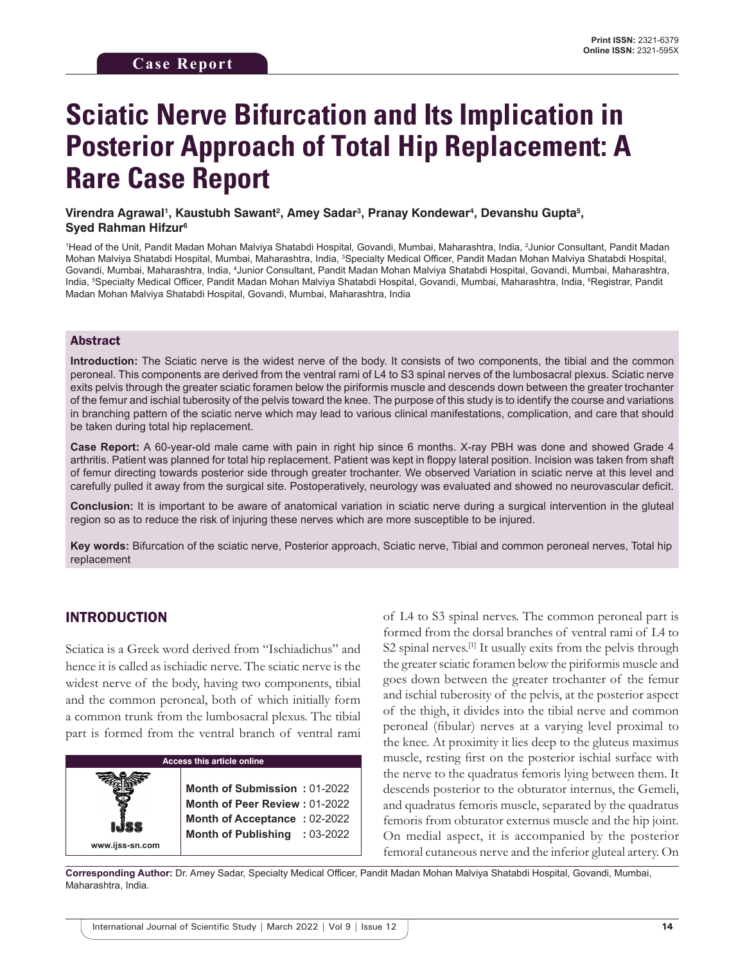# **Sciatic Nerve Bifurcation and Its Implication in Posterior Approach of Total Hip Replacement: A Rare Case Report**

### Virendra Agrawal', Kaustubh Sawant², Amey Sadar<sup>з</sup>, Pranay Kondewar<sup>4</sup>, Devanshu Gupta<sup>s</sup>, **Syed Rahman Hifzur6**

<sup>1</sup>Head of the Unit, Pandit Madan Mohan Malviya Shatabdi Hospital, Govandi, Mumbai, Maharashtra, India, <sup>2</sup>Junior Consultant, Pandit Madan Mohan Malviya Shatabdi Hospital, Mumbai, Maharashtra, India, <sup>3</sup>Specialty Medical Officer, Pandit Madan Mohan Malviya Shatabdi Hospital, Govandi, Mumbai, Maharashtra, India, 4 Junior Consultant, Pandit Madan Mohan Malviya Shatabdi Hospital, Govandi, Mumbai, Maharashtra, India, <sup>s</sup>Specialty Medical Officer, Pandit Madan Mohan Malviya Shatabdi Hospital, Govandi, Mumbai, Maharashtra, India, <sup>s</sup>Registrar, Pandit Madan Mohan Malviya Shatabdi Hospital, Govandi, Mumbai, Maharashtra, India

### Abstract

**Introduction:** The Sciatic nerve is the widest nerve of the body. It consists of two components, the tibial and the common peroneal. This components are derived from the ventral rami of L4 to S3 spinal nerves of the lumbosacral plexus. Sciatic nerve exits pelvis through the greater sciatic foramen below the piriformis muscle and descends down between the greater trochanter of the femur and ischial tuberosity of the pelvis toward the knee. The purpose of this study is to identify the course and variations in branching pattern of the sciatic nerve which may lead to various clinical manifestations, complication, and care that should be taken during total hip replacement.

**Case Report:** A 60-year-old male came with pain in right hip since 6 months. X-ray PBH was done and showed Grade 4 arthritis. Patient was planned for total hip replacement. Patient was kept in floppy lateral position. Incision was taken from shaft of femur directing towards posterior side through greater trochanter. We observed Variation in sciatic nerve at this level and carefully pulled it away from the surgical site. Postoperatively, neurology was evaluated and showed no neurovascular deficit.

**Conclusion:** It is important to be aware of anatomical variation in sciatic nerve during a surgical intervention in the gluteal region so as to reduce the risk of injuring these nerves which are more susceptible to be injured.

**Key words:** Bifurcation of the sciatic nerve, Posterior approach, Sciatic nerve, Tibial and common peroneal nerves, Total hip replacement

## INTRODUCTION

Sciatica is a Greek word derived from "Ischiadichus" and hence it is called as ischiadic nerve. The sciatic nerve is the widest nerve of the body, having two components, tibial and the common peroneal, both of which initially form a common trunk from the lumbosacral plexus. The tibial part is formed from the ventral branch of ventral rami



of L4 to S3 spinal nerves. The common peroneal part is formed from the dorsal branches of ventral rami of L4 to S2 spinal nerves.<sup>[1]</sup> It usually exits from the pelvis through the greater sciatic foramen below the piriformis muscle and goes down between the greater trochanter of the femur and ischial tuberosity of the pelvis, at the posterior aspect of the thigh, it divides into the tibial nerve and common peroneal (fibular) nerves at a varying level proximal to the knee. At proximity it lies deep to the gluteus maximus muscle, resting first on the posterior ischial surface with the nerve to the quadratus femoris lying between them. It descends posterior to the obturator internus, the Gemeli, and quadratus femoris muscle, separated by the quadratus femoris from obturator externus muscle and the hip joint. On medial aspect, it is accompanied by the posterior femoral cutaneous nerve and the inferior gluteal artery. On

**Corresponding Author:** Dr. Amey Sadar, Specialty Medical Officer, Pandit Madan Mohan Malviya Shatabdi Hospital, Govandi, Mumbai, Maharashtra, India.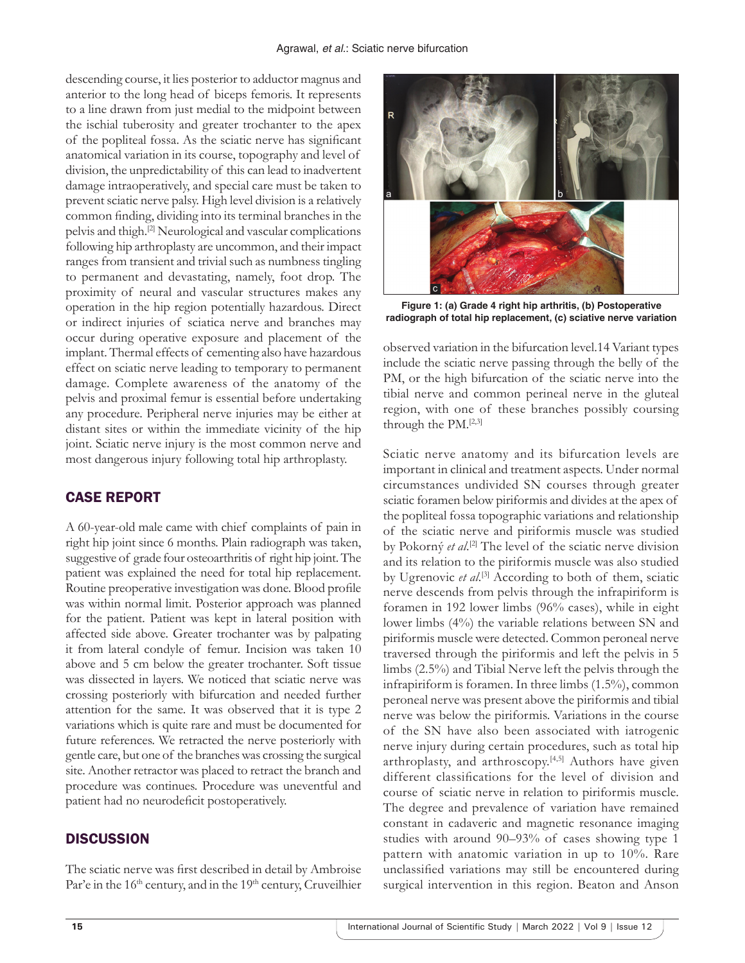descending course, it lies posterior to adductor magnus and anterior to the long head of biceps femoris. It represents to a line drawn from just medial to the midpoint between the ischial tuberosity and greater trochanter to the apex of the popliteal fossa. As the sciatic nerve has significant anatomical variation in its course, topography and level of division, the unpredictability of this can lead to inadvertent damage intraoperatively, and special care must be taken to prevent sciatic nerve palsy. High level division is a relatively common finding, dividing into its terminal branches in the pelvis and thigh.[2] Neurological and vascular complications following hip arthroplasty are uncommon, and their impact ranges from transient and trivial such as numbness tingling to permanent and devastating, namely, foot drop. The proximity of neural and vascular structures makes any operation in the hip region potentially hazardous. Direct or indirect injuries of sciatica nerve and branches may occur during operative exposure and placement of the implant. Thermal effects of cementing also have hazardous effect on sciatic nerve leading to temporary to permanent damage. Complete awareness of the anatomy of the pelvis and proximal femur is essential before undertaking any procedure. Peripheral nerve injuries may be either at distant sites or within the immediate vicinity of the hip joint. Sciatic nerve injury is the most common nerve and most dangerous injury following total hip arthroplasty.

# CASE REPORT

A 60-year-old male came with chief complaints of pain in right hip joint since 6 months. Plain radiograph was taken, suggestive of grade four osteoarthritis of right hip joint. The patient was explained the need for total hip replacement. Routine preoperative investigation was done. Blood profile was within normal limit. Posterior approach was planned for the patient. Patient was kept in lateral position with affected side above. Greater trochanter was by palpating it from lateral condyle of femur. Incision was taken 10 above and 5 cm below the greater trochanter. Soft tissue was dissected in layers. We noticed that sciatic nerve was crossing posteriorly with bifurcation and needed further attention for the same. It was observed that it is type 2 variations which is quite rare and must be documented for future references. We retracted the nerve posteriorly with gentle care, but one of the branches was crossing the surgical site. Another retractor was placed to retract the branch and procedure was continues. Procedure was uneventful and patient had no neurodeficit postoperatively.

## **DISCUSSION**

The sciatic nerve was first described in detail by Ambroise Par'e in the 16<sup>th</sup> century, and in the 19<sup>th</sup> century, Cruveilhier



**Figure 1: (a) Grade 4 right hip arthritis, (b) Postoperative radiograph of total hip replacement, (c) sciative nerve variation** 

observed variation in the bifurcation level.14 Variant types include the sciatic nerve passing through the belly of the PM, or the high bifurcation of the sciatic nerve into the tibial nerve and common perineal nerve in the gluteal region, with one of these branches possibly coursing through the PM.[2,3]

Sciatic nerve anatomy and its bifurcation levels are important in clinical and treatment aspects. Under normal circumstances undivided SN courses through greater sciatic foramen below piriformis and divides at the apex of the popliteal fossa topographic variations and relationship of the sciatic nerve and piriformis muscle was studied by Pokorný *et al*. [2] The level of the sciatic nerve division and its relation to the piriformis muscle was also studied by Ugrenovic *et al*. [3] According to both of them, sciatic nerve descends from pelvis through the infrapiriform is foramen in 192 lower limbs (96% cases), while in eight lower limbs (4%) the variable relations between SN and piriformis muscle were detected. Common peroneal nerve traversed through the piriformis and left the pelvis in 5 limbs (2.5%) and Tibial Nerve left the pelvis through the infrapiriform is foramen. In three limbs (1.5%), common peroneal nerve was present above the piriformis and tibial nerve was below the piriformis. Variations in the course of the SN have also been associated with iatrogenic nerve injury during certain procedures, such as total hip arthroplasty, and arthroscopy.<sup>[4,5]</sup> Authors have given different classifications for the level of division and course of sciatic nerve in relation to piriformis muscle. The degree and prevalence of variation have remained constant in cadaveric and magnetic resonance imaging studies with around 90–93% of cases showing type 1 pattern with anatomic variation in up to 10%. Rare unclassified variations may still be encountered during surgical intervention in this region. Beaton and Anson